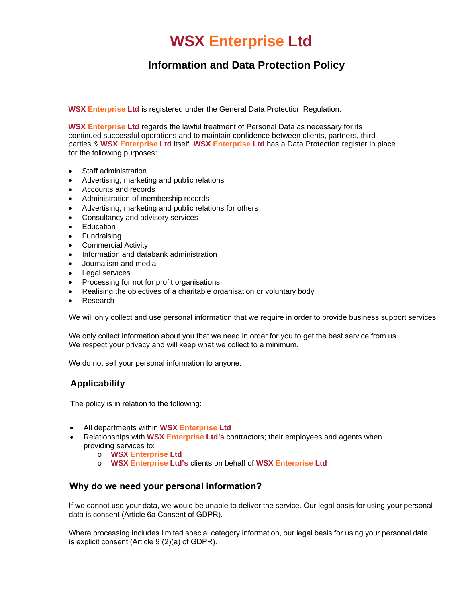# **WSX Enterprise Ltd**

# **Information and Data Protection Policy**

**WSX Enterprise Ltd** is registered under the General Data Protection Regulation.

**WSX Enterprise Ltd** regards the lawful treatment of Personal Data as necessary for its continued successful operations and to maintain confidence between clients, partners, third parties & **WSX Enterprise Ltd** itself. **WSX Enterprise Ltd** has a Data Protection register in place for the following purposes:

- Staff administration
- Advertising, marketing and public relations
- Accounts and records
- Administration of membership records
- Advertising, marketing and public relations for others
- Consultancy and advisory services
- Education
- Fundraising
- Commercial Activity
- Information and databank administration
- Journalism and media
- Legal services
- Processing for not for profit organisations
- Realising the objectives of a charitable organisation or voluntary body
- Research

We will only collect and use personal information that we require in order to provide business support services.

We only collect information about you that we need in order for you to get the best service from us. We respect your privacy and will keep what we collect to a minimum.

We do not sell your personal information to anyone.

## **Applicability**

The policy is in relation to the following:

- All departments within **WSX Enterprise Ltd**
- Relationships with **WSX Enterprise Ltd's** contractors; their employees and agents when providing services to:
	- o **WSX Enterprise Ltd**
	- o **WSX Enterprise Ltd's** clients on behalf of **WSX Enterprise Ltd**

#### **Why do we need your personal information?**

If we cannot use your data, we would be unable to deliver the service. Our legal basis for using your personal data is consent (Article 6a Consent of GDPR).

Where processing includes limited special category information, our legal basis for using your personal data is explicit consent (Article 9 (2)(a) of GDPR).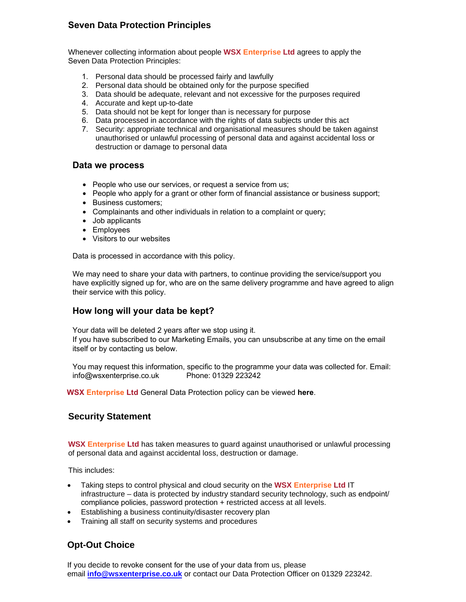## **Seven Data Protection Principles**

Whenever collecting information about people **WSX Enterprise Ltd** agrees to apply the Seven Data Protection Principles:

- 1. Personal data should be processed fairly and lawfully
- 2. Personal data should be obtained only for the purpose specified
- 3. Data should be adequate, relevant and not excessive for the purposes required
- 4. Accurate and kept up-to-date
- 5. Data should not be kept for longer than is necessary for purpose
- 6. Data processed in accordance with the rights of data subjects under this act
- 7. Security: appropriate technical and organisational measures should be taken against unauthorised or unlawful processing of personal data and against accidental loss or destruction or damage to personal data

#### **Data we process**

- People who use our services, or request a service from us;
- People who apply for a grant or other form of financial assistance or business support;
- Business customers;
- Complainants and other individuals in relation to a complaint or query;
- Job applicants
- Employees
- Visitors to our websites

Data is processed in accordance with this policy.

We may need to share your data with partners, to continue providing the service/support you have explicitly signed up for, who are on the same delivery programme and have agreed to align their service with this policy.

## **How long will your data be kept?**

Your data will be deleted 2 years after we stop using it. If you have subscribed to our Marketing Emails, you can unsubscribe at any time on the email itself or by contacting us below.

You may request this information, specific to the programme your data was collected for. Email: info@wsxenterprise.co.uk Phone: 01329 223242

**WSX Enterprise Ltd** General Data Protection policy can be viewed **[here](https://www.wsxenterprise.co.uk/wp-content/uploads/2022/06/WSX-Data-Protection-Policy1.pdf)**.

#### **Security Statement**

**WSX Enterprise Ltd** has taken measures to guard against unauthorised or unlawful processing of personal data and against accidental loss, destruction or damage.

This includes:

- Taking steps to control physical and cloud security on the **WSX Enterprise Ltd** IT infrastructure – data is protected by industry standard security technology, such as endpoint/ compliance policies, password protection + restricted access at all levels.
- Establishing a business continuity/disaster recovery plan
- Training all staff on security systems and procedures

## **Opt-Out Choice**

If you decide to revoke consent for the use of your data from us, please email **info@wsxenterprise.co.uk** or contact our Data Protection Officer on 01329 223242.